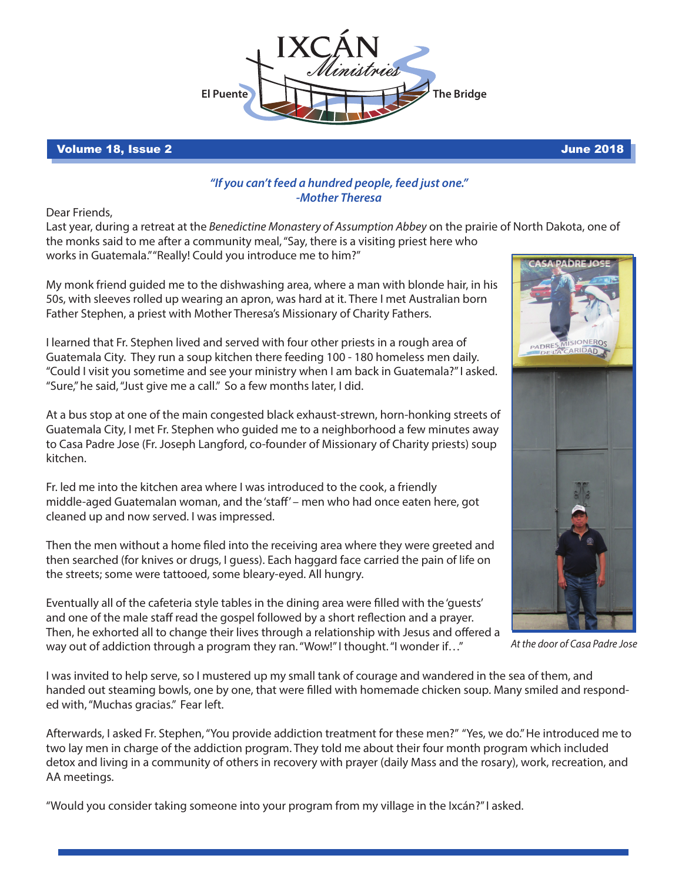

## Volume 18, Issue 2 June 2018

## *"If you can't feed a hundred people, feed just one." -Mother Theresa*

Dear Friends,

Last year, during a retreat at the *Benedictine Monastery of Assumption Abbey* on the prairie of North Dakota, one of the monks said to me after a community meal, "Say, there is a visiting priest here who works in Guatemala." "Really! Could you introduce me to him?" CACA-DADDE IO

My monk friend guided me to the dishwashing area, where a man with blonde hair, in his 50s, with sleeves rolled up wearing an apron, was hard at it. There I met Australian born Father Stephen, a priest with Mother Theresa's Missionary of Charity Fathers.

I learned that Fr. Stephen lived and served with four other priests in a rough area of Guatemala City. They run a soup kitchen there feeding 100 - 180 homeless men daily. "Could I visit you sometime and see your ministry when I am back in Guatemala?" I asked. "Sure," he said, "Just give me a call." So a few months later, I did.

At a bus stop at one of the main congested black exhaust-strewn, horn-honking streets of Guatemala City, I met Fr. Stephen who guided me to a neighborhood a few minutes away to Casa Padre Jose (Fr. Joseph Langford, co-founder of Missionary of Charity priests) soup kitchen.

Fr. led me into the kitchen area where I was introduced to the cook, a friendly middle-aged Guatemalan woman, and the 'staff' – men who had once eaten here, got cleaned up and now served. I was impressed.

Then the men without a home filed into the receiving area where they were greeted and then searched (for knives or drugs, I guess). Each haggard face carried the pain of life on the streets; some were tattooed, some bleary-eyed. All hungry.





*At the door of Casa Padre Jose*

I was invited to help serve, so I mustered up my small tank of courage and wandered in the sea of them, and handed out steaming bowls, one by one, that were filled with homemade chicken soup. Many smiled and responded with, "Muchas gracias." Fear left.

Afterwards, I asked Fr. Stephen, "You provide addiction treatment for these men?" "Yes, we do." He introduced me to two lay men in charge of the addiction program. They told me about their four month program which included detox and living in a community of others in recovery with prayer (daily Mass and the rosary), work, recreation, and AA meetings.

"Would you consider taking someone into your program from my village in the Ixcán?" I asked.